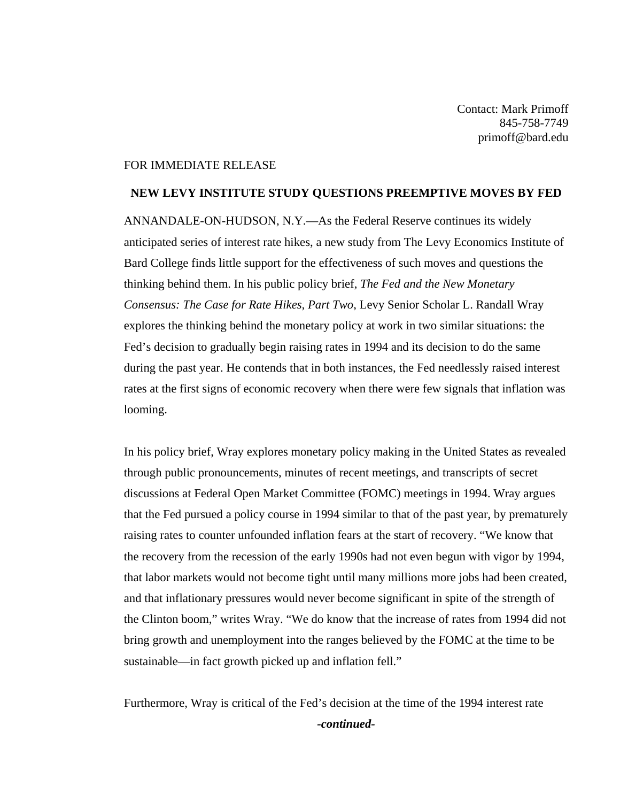Contact: Mark Primoff 845-758-7749 primoff@bard.edu

## FOR IMMEDIATE RELEASE

## **NEW LEVY INSTITUTE STUDY QUESTIONS PREEMPTIVE MOVES BY FED**

ANNANDALE-ON-HUDSON, N.Y.—As the Federal Reserve continues its widely anticipated series of interest rate hikes, a new study from The Levy Economics Institute of Bard College finds little support for the effectiveness of such moves and questions the thinking behind them. In his public policy brief, *The Fed and the New Monetary Consensus: The Case for Rate Hikes, Part Two*, Levy Senior Scholar L. Randall Wray explores the thinking behind the monetary policy at work in two similar situations: the Fed's decision to gradually begin raising rates in 1994 and its decision to do the same during the past year. He contends that in both instances, the Fed needlessly raised interest rates at the first signs of economic recovery when there were few signals that inflation was looming.

In his policy brief, Wray explores monetary policy making in the United States as revealed through public pronouncements, minutes of recent meetings, and transcripts of secret discussions at Federal Open Market Committee (FOMC) meetings in 1994. Wray argues that the Fed pursued a policy course in 1994 similar to that of the past year, by prematurely raising rates to counter unfounded inflation fears at the start of recovery. "We know that the recovery from the recession of the early 1990s had not even begun with vigor by 1994, that labor markets would not become tight until many millions more jobs had been created, and that inflationary pressures would never become significant in spite of the strength of the Clinton boom," writes Wray. "We do know that the increase of rates from 1994 did not bring growth and unemployment into the ranges believed by the FOMC at the time to be sustainable—in fact growth picked up and inflation fell."

Furthermore, Wray is critical of the Fed's decision at the time of the 1994 interest rate *-continued-*